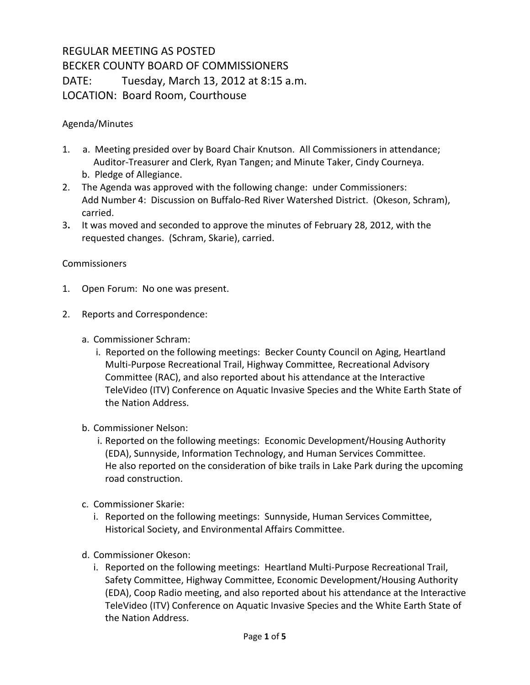## REGULAR MEETING AS POSTED BECKER COUNTY BOARD OF COMMISSIONERS DATE: Tuesday, March 13, 2012 at 8:15 a.m. LOCATION: Board Room, Courthouse

## Agenda/Minutes

- 1. a. Meeting presided over by Board Chair Knutson. All Commissioners in attendance; Auditor-Treasurer and Clerk, Ryan Tangen; and Minute Taker, Cindy Courneya. b. Pledge of Allegiance.
- 2. The Agenda was approved with the following change: under Commissioners: Add Number 4: Discussion on Buffalo-Red River Watershed District. (Okeson, Schram), carried.
- 3**.** It was moved and seconded to approve the minutes of February 28, 2012, with the requested changes. (Schram, Skarie), carried.

## Commissioners

- 1. Open Forum: No one was present.
- 2. Reports and Correspondence:
	- a. Commissioner Schram:
		- i. Reported on the following meetings: Becker County Council on Aging, Heartland Multi-Purpose Recreational Trail, Highway Committee, Recreational Advisory Committee (RAC), and also reported about his attendance at the Interactive TeleVideo (ITV) Conference on Aquatic Invasive Species and the White Earth State of the Nation Address.
	- b. Commissioner Nelson:
		- i. Reported on the following meetings: Economic Development/Housing Authority (EDA), Sunnyside, Information Technology, and Human Services Committee. He also reported on the consideration of bike trails in Lake Park during the upcoming road construction.
	- c. Commissioner Skarie:
		- i. Reported on the following meetings: Sunnyside, Human Services Committee, Historical Society, and Environmental Affairs Committee.
	- d. Commissioner Okeson:
		- i. Reported on the following meetings: Heartland Multi-Purpose Recreational Trail, Safety Committee, Highway Committee, Economic Development/Housing Authority (EDA), Coop Radio meeting, and also reported about his attendance at the Interactive TeleVideo (ITV) Conference on Aquatic Invasive Species and the White Earth State of the Nation Address.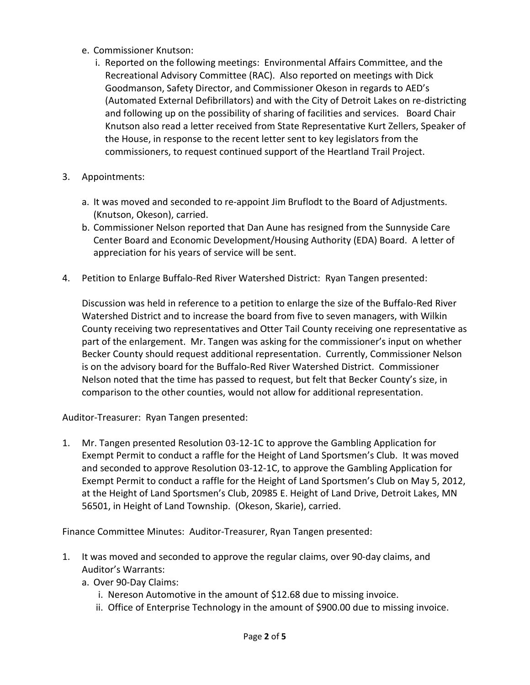- e. Commissioner Knutson:
	- i. Reported on the following meetings: Environmental Affairs Committee, and the Recreational Advisory Committee (RAC). Also reported on meetings with Dick Goodmanson, Safety Director, and Commissioner Okeson in regards to AED's (Automated External Defibrillators) and with the City of Detroit Lakes on re-districting and following up on the possibility of sharing of facilities and services. Board Chair Knutson also read a letter received from State Representative Kurt Zellers, Speaker of the House, in response to the recent letter sent to key legislators from the commissioners, to request continued support of the Heartland Trail Project.
- 3. Appointments:
	- a. It was moved and seconded to re-appoint Jim Bruflodt to the Board of Adjustments. (Knutson, Okeson), carried.
	- b. Commissioner Nelson reported that Dan Aune has resigned from the Sunnyside Care Center Board and Economic Development/Housing Authority (EDA) Board. A letter of appreciation for his years of service will be sent.
- 4. Petition to Enlarge Buffalo-Red River Watershed District: Ryan Tangen presented:

Discussion was held in reference to a petition to enlarge the size of the Buffalo-Red River Watershed District and to increase the board from five to seven managers, with Wilkin County receiving two representatives and Otter Tail County receiving one representative as part of the enlargement. Mr. Tangen was asking for the commissioner's input on whether Becker County should request additional representation. Currently, Commissioner Nelson is on the advisory board for the Buffalo-Red River Watershed District. Commissioner Nelson noted that the time has passed to request, but felt that Becker County's size, in comparison to the other counties, would not allow for additional representation.

Auditor-Treasurer: Ryan Tangen presented:

1. Mr. Tangen presented Resolution 03-12-1C to approve the Gambling Application for Exempt Permit to conduct a raffle for the Height of Land Sportsmen's Club. It was moved and seconded to approve Resolution 03-12-1C, to approve the Gambling Application for Exempt Permit to conduct a raffle for the Height of Land Sportsmen's Club on May 5, 2012, at the Height of Land Sportsmen's Club, 20985 E. Height of Land Drive, Detroit Lakes, MN 56501, in Height of Land Township. (Okeson, Skarie), carried.

Finance Committee Minutes: Auditor-Treasurer, Ryan Tangen presented:

- 1. It was moved and seconded to approve the regular claims, over 90-day claims, and Auditor's Warrants:
	- a. Over 90-Day Claims:
		- i. Nereson Automotive in the amount of \$12.68 due to missing invoice.
		- ii. Office of Enterprise Technology in the amount of \$900.00 due to missing invoice.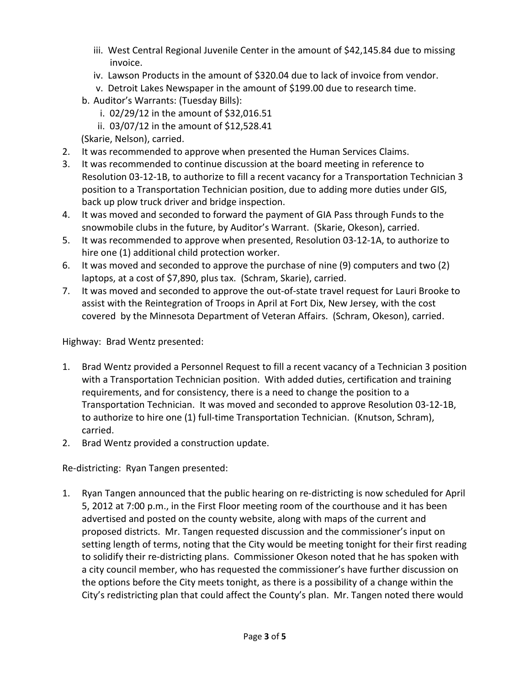- iii. West Central Regional Juvenile Center in the amount of \$42,145.84 due to missing invoice.
- iv. Lawson Products in the amount of \$320.04 due to lack of invoice from vendor.
- v. Detroit Lakes Newspaper in the amount of \$199.00 due to research time.
- b. Auditor's Warrants: (Tuesday Bills):
	- i. 02/29/12 in the amount of \$32,016.51
	- ii. 03/07/12 in the amount of \$12,528.41
- (Skarie, Nelson), carried.
- 2. It was recommended to approve when presented the Human Services Claims.
- 3. It was recommended to continue discussion at the board meeting in reference to Resolution 03-12-1B, to authorize to fill a recent vacancy for a Transportation Technician 3 position to a Transportation Technician position, due to adding more duties under GIS, back up plow truck driver and bridge inspection.
- 4. It was moved and seconded to forward the payment of GIA Pass through Funds to the snowmobile clubs in the future, by Auditor's Warrant. (Skarie, Okeson), carried.
- 5. It was recommended to approve when presented, Resolution 03-12-1A, to authorize to hire one (1) additional child protection worker.
- 6. It was moved and seconded to approve the purchase of nine (9) computers and two (2) laptops, at a cost of \$7,890, plus tax. (Schram, Skarie), carried.
- 7. It was moved and seconded to approve the out-of-state travel request for Lauri Brooke to assist with the Reintegration of Troops in April at Fort Dix, New Jersey, with the cost covered by the Minnesota Department of Veteran Affairs. (Schram, Okeson), carried.

Highway: Brad Wentz presented:

- 1. Brad Wentz provided a Personnel Request to fill a recent vacancy of a Technician 3 position with a Transportation Technician position. With added duties, certification and training requirements, and for consistency, there is a need to change the position to a Transportation Technician. It was moved and seconded to approve Resolution 03-12-1B, to authorize to hire one (1) full-time Transportation Technician. (Knutson, Schram), carried.
- 2. Brad Wentz provided a construction update.

Re-districting: Ryan Tangen presented:

1. Ryan Tangen announced that the public hearing on re-districting is now scheduled for April 5, 2012 at 7:00 p.m., in the First Floor meeting room of the courthouse and it has been advertised and posted on the county website, along with maps of the current and proposed districts. Mr. Tangen requested discussion and the commissioner's input on setting length of terms, noting that the City would be meeting tonight for their first reading to solidify their re-districting plans. Commissioner Okeson noted that he has spoken with a city council member, who has requested the commissioner's have further discussion on the options before the City meets tonight, as there is a possibility of a change within the City's redistricting plan that could affect the County's plan. Mr. Tangen noted there would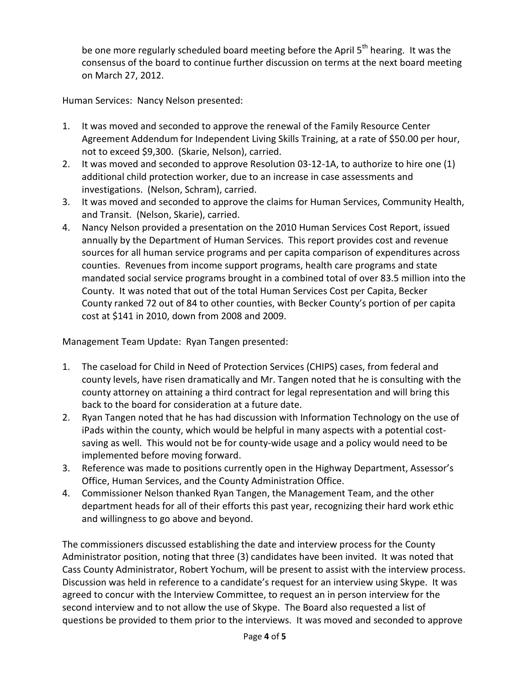be one more regularly scheduled board meeting before the April 5<sup>th</sup> hearing. It was the consensus of the board to continue further discussion on terms at the next board meeting on March 27, 2012.

Human Services: Nancy Nelson presented:

- 1. It was moved and seconded to approve the renewal of the Family Resource Center Agreement Addendum for Independent Living Skills Training, at a rate of \$50.00 per hour, not to exceed \$9,300. (Skarie, Nelson), carried.
- 2. It was moved and seconded to approve Resolution 03-12-1A, to authorize to hire one (1) additional child protection worker, due to an increase in case assessments and investigations. (Nelson, Schram), carried.
- 3. It was moved and seconded to approve the claims for Human Services, Community Health, and Transit. (Nelson, Skarie), carried.
- 4. Nancy Nelson provided a presentation on the 2010 Human Services Cost Report, issued annually by the Department of Human Services. This report provides cost and revenue sources for all human service programs and per capita comparison of expenditures across counties. Revenues from income support programs, health care programs and state mandated social service programs brought in a combined total of over 83.5 million into the County. It was noted that out of the total Human Services Cost per Capita, Becker County ranked 72 out of 84 to other counties, with Becker County's portion of per capita cost at \$141 in 2010, down from 2008 and 2009.

Management Team Update: Ryan Tangen presented:

- 1. The caseload for Child in Need of Protection Services (CHIPS) cases, from federal and county levels, have risen dramatically and Mr. Tangen noted that he is consulting with the county attorney on attaining a third contract for legal representation and will bring this back to the board for consideration at a future date.
- 2. Ryan Tangen noted that he has had discussion with Information Technology on the use of iPads within the county, which would be helpful in many aspects with a potential costsaving as well. This would not be for county-wide usage and a policy would need to be implemented before moving forward.
- 3. Reference was made to positions currently open in the Highway Department, Assessor's Office, Human Services, and the County Administration Office.
- 4. Commissioner Nelson thanked Ryan Tangen, the Management Team, and the other department heads for all of their efforts this past year, recognizing their hard work ethic and willingness to go above and beyond.

The commissioners discussed establishing the date and interview process for the County Administrator position, noting that three (3) candidates have been invited. It was noted that Cass County Administrator, Robert Yochum, will be present to assist with the interview process. Discussion was held in reference to a candidate's request for an interview using Skype. It was agreed to concur with the Interview Committee, to request an in person interview for the second interview and to not allow the use of Skype. The Board also requested a list of questions be provided to them prior to the interviews. It was moved and seconded to approve